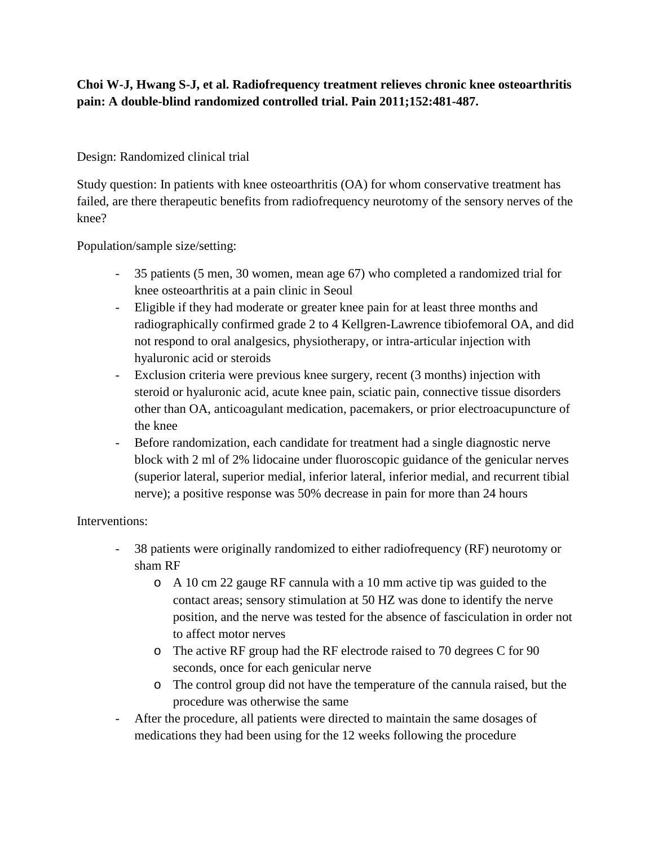# **Choi W-J, Hwang S-J, et al. Radiofrequency treatment relieves chronic knee osteoarthritis pain: A double-blind randomized controlled trial. Pain 2011;152:481-487.**

## Design: Randomized clinical trial

Study question: In patients with knee osteoarthritis (OA) for whom conservative treatment has failed, are there therapeutic benefits from radiofrequency neurotomy of the sensory nerves of the knee?

Population/sample size/setting:

- 35 patients (5 men, 30 women, mean age 67) who completed a randomized trial for knee osteoarthritis at a pain clinic in Seoul
- Eligible if they had moderate or greater knee pain for at least three months and radiographically confirmed grade 2 to 4 Kellgren-Lawrence tibiofemoral OA, and did not respond to oral analgesics, physiotherapy, or intra-articular injection with hyaluronic acid or steroids
- Exclusion criteria were previous knee surgery, recent (3 months) injection with steroid or hyaluronic acid, acute knee pain, sciatic pain, connective tissue disorders other than OA, anticoagulant medication, pacemakers, or prior electroacupuncture of the knee
- Before randomization, each candidate for treatment had a single diagnostic nerve block with 2 ml of 2% lidocaine under fluoroscopic guidance of the genicular nerves (superior lateral, superior medial, inferior lateral, inferior medial, and recurrent tibial nerve); a positive response was 50% decrease in pain for more than 24 hours

#### Interventions:

- 38 patients were originally randomized to either radiofrequency (RF) neurotomy or sham RF
	- o A 10 cm 22 gauge RF cannula with a 10 mm active tip was guided to the contact areas; sensory stimulation at 50 HZ was done to identify the nerve position, and the nerve was tested for the absence of fasciculation in order not to affect motor nerves
	- o The active RF group had the RF electrode raised to 70 degrees C for 90 seconds, once for each genicular nerve
	- o The control group did not have the temperature of the cannula raised, but the procedure was otherwise the same
- After the procedure, all patients were directed to maintain the same dosages of medications they had been using for the 12 weeks following the procedure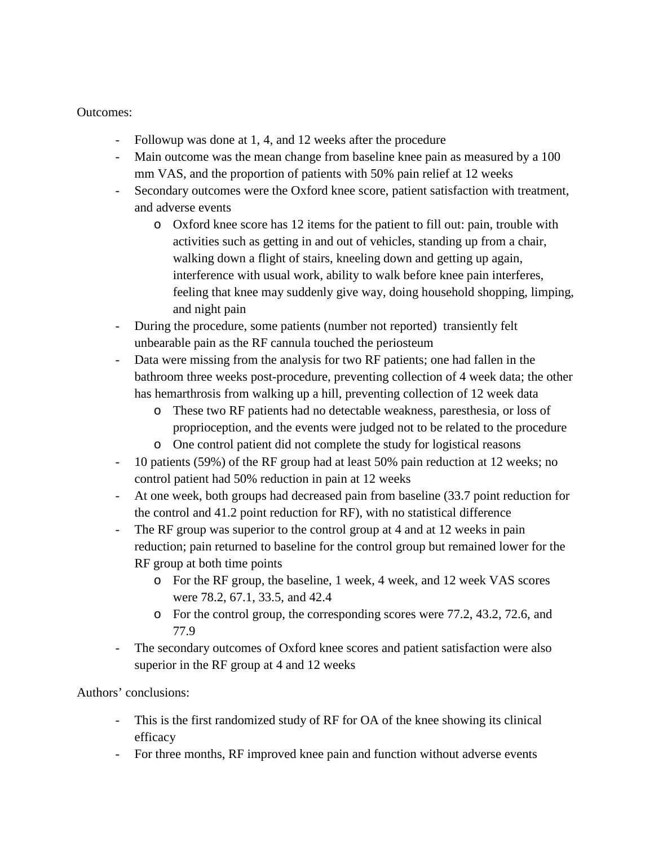Outcomes:

- Followup was done at 1, 4, and 12 weeks after the procedure
- Main outcome was the mean change from baseline knee pain as measured by a 100 mm VAS, and the proportion of patients with 50% pain relief at 12 weeks
- Secondary outcomes were the Oxford knee score, patient satisfaction with treatment, and adverse events
	- o Oxford knee score has 12 items for the patient to fill out: pain, trouble with activities such as getting in and out of vehicles, standing up from a chair, walking down a flight of stairs, kneeling down and getting up again, interference with usual work, ability to walk before knee pain interferes, feeling that knee may suddenly give way, doing household shopping, limping, and night pain
- During the procedure, some patients (number not reported) transiently felt unbearable pain as the RF cannula touched the periosteum
- Data were missing from the analysis for two RF patients; one had fallen in the bathroom three weeks post-procedure, preventing collection of 4 week data; the other has hemarthrosis from walking up a hill, preventing collection of 12 week data
	- o These two RF patients had no detectable weakness, paresthesia, or loss of proprioception, and the events were judged not to be related to the procedure
	- o One control patient did not complete the study for logistical reasons
- 10 patients (59%) of the RF group had at least 50% pain reduction at 12 weeks; no control patient had 50% reduction in pain at 12 weeks
- At one week, both groups had decreased pain from baseline (33.7 point reduction for the control and 41.2 point reduction for RF), with no statistical difference
- The RF group was superior to the control group at 4 and at 12 weeks in pain reduction; pain returned to baseline for the control group but remained lower for the RF group at both time points
	- o For the RF group, the baseline, 1 week, 4 week, and 12 week VAS scores were 78.2, 67.1, 33.5, and 42.4
	- o For the control group, the corresponding scores were 77.2, 43.2, 72.6, and 77.9
- The secondary outcomes of Oxford knee scores and patient satisfaction were also superior in the RF group at 4 and 12 weeks

Authors' conclusions:

- This is the first randomized study of RF for OA of the knee showing its clinical efficacy
- For three months, RF improved knee pain and function without adverse events